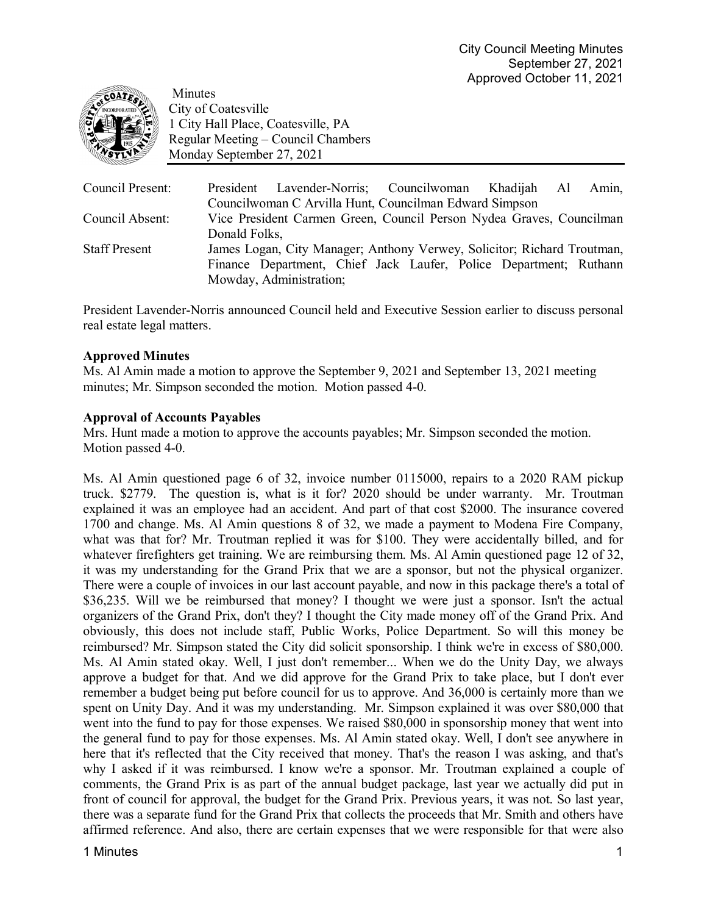

Minutes City of Coatesville 1 City Hall Place, Coatesville, PA Regular Meeting – Council Chambers Monday September 27, 2021

| Council Present:     | President Lavender-Norris; Councilwoman Khadijah Al                     |  |  |  |  |  |  |  | Amin, |
|----------------------|-------------------------------------------------------------------------|--|--|--|--|--|--|--|-------|
|                      | Councilwoman C Arvilla Hunt, Councilman Edward Simpson                  |  |  |  |  |  |  |  |       |
| Council Absent:      | Vice President Carmen Green, Council Person Nydea Graves, Councilman    |  |  |  |  |  |  |  |       |
|                      | Donald Folks,                                                           |  |  |  |  |  |  |  |       |
| <b>Staff Present</b> | James Logan, City Manager; Anthony Verwey, Solicitor; Richard Troutman, |  |  |  |  |  |  |  |       |
|                      | Finance Department, Chief Jack Laufer, Police Department; Ruthann       |  |  |  |  |  |  |  |       |
|                      | Mowday, Administration;                                                 |  |  |  |  |  |  |  |       |

President Lavender-Norris announced Council held and Executive Session earlier to discuss personal real estate legal matters.

# **Approved Minutes**

Ms. Al Amin made a motion to approve the September 9, 2021 and September 13, 2021 meeting minutes; Mr. Simpson seconded the motion. Motion passed 4-0.

# **Approval of Accounts Payables**

Mrs. Hunt made a motion to approve the accounts payables; Mr. Simpson seconded the motion. Motion passed 4-0.

Ms. Al Amin questioned page 6 of 32, invoice number 0115000, repairs to a 2020 RAM pickup truck. \$2779. The question is, what is it for? 2020 should be under warranty. Mr. Troutman explained it was an employee had an accident. And part of that cost \$2000. The insurance covered 1700 and change. Ms. Al Amin questions 8 of 32, we made a payment to Modena Fire Company, what was that for? Mr. Troutman replied it was for \$100. They were accidentally billed, and for whatever firefighters get training. We are reimbursing them. Ms. Al Amin questioned page 12 of 32, it was my understanding for the Grand Prix that we are a sponsor, but not the physical organizer. There were a couple of invoices in our last account payable, and now in this package there's a total of \$36,235. Will we be reimbursed that money? I thought we were just a sponsor. Isn't the actual organizers of the Grand Prix, don't they? I thought the City made money off of the Grand Prix. And obviously, this does not include staff, Public Works, Police Department. So will this money be reimbursed? Mr. Simpson stated the City did solicit sponsorship. I think we're in excess of \$80,000. Ms. Al Amin stated okay. Well, I just don't remember... When we do the Unity Day, we always approve a budget for that. And we did approve for the Grand Prix to take place, but I don't ever remember a budget being put before council for us to approve. And 36,000 is certainly more than we spent on Unity Day. And it was my understanding. Mr. Simpson explained it was over \$80,000 that went into the fund to pay for those expenses. We raised \$80,000 in sponsorship money that went into the general fund to pay for those expenses. Ms. Al Amin stated okay. Well, I don't see anywhere in here that it's reflected that the City received that money. That's the reason I was asking, and that's why I asked if it was reimbursed. I know we're a sponsor. Mr. Troutman explained a couple of comments, the Grand Prix is as part of the annual budget package, last year we actually did put in front of council for approval, the budget for the Grand Prix. Previous years, it was not. So last year, there was a separate fund for the Grand Prix that collects the proceeds that Mr. Smith and others have affirmed reference. And also, there are certain expenses that we were responsible for that were also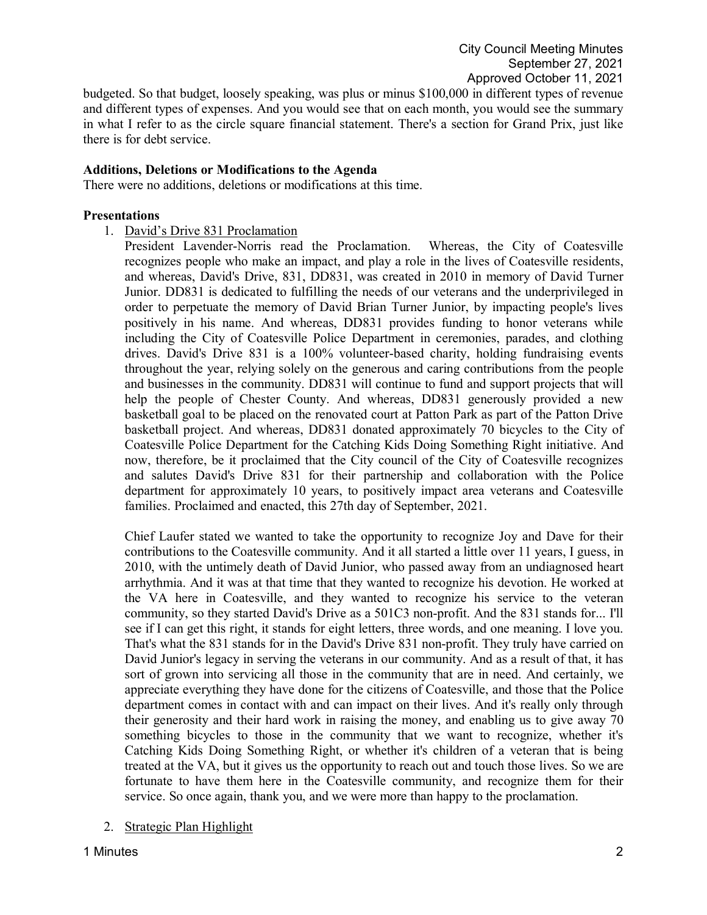budgeted. So that budget, loosely speaking, was plus or minus \$100,000 in different types of revenue and different types of expenses. And you would see that on each month, you would see the summary in what I refer to as the circle square financial statement. There's a section for Grand Prix, just like there is for debt service.

## **Additions, Deletions or Modifications to the Agenda**

There were no additions, deletions or modifications at this time.

## **Presentations**

- 1. David's Drive 831 Proclamation
	- President Lavender-Norris read the Proclamation. Whereas, the City of Coatesville recognizes people who make an impact, and play a role in the lives of Coatesville residents, and whereas, David's Drive, 831, DD831, was created in 2010 in memory of David Turner Junior. DD831 is dedicated to fulfilling the needs of our veterans and the underprivileged in order to perpetuate the memory of David Brian Turner Junior, by impacting people's lives positively in his name. And whereas, DD831 provides funding to honor veterans while including the City of Coatesville Police Department in ceremonies, parades, and clothing drives. David's Drive 831 is a 100% volunteer-based charity, holding fundraising events throughout the year, relying solely on the generous and caring contributions from the people and businesses in the community. DD831 will continue to fund and support projects that will help the people of Chester County. And whereas, DD831 generously provided a new basketball goal to be placed on the renovated court at Patton Park as part of the Patton Drive basketball project. And whereas, DD831 donated approximately 70 bicycles to the City of Coatesville Police Department for the Catching Kids Doing Something Right initiative. And now, therefore, be it proclaimed that the City council of the City of Coatesville recognizes and salutes David's Drive 831 for their partnership and collaboration with the Police department for approximately 10 years, to positively impact area veterans and Coatesville families. Proclaimed and enacted, this 27th day of September, 2021.

Chief Laufer stated we wanted to take the opportunity to recognize Joy and Dave for their contributions to the Coatesville community. And it all started a little over 11 years, I guess, in 2010, with the untimely death of David Junior, who passed away from an undiagnosed heart arrhythmia. And it was at that time that they wanted to recognize his devotion. He worked at the VA here in Coatesville, and they wanted to recognize his service to the veteran community, so they started David's Drive as a 501C3 non-profit. And the 831 stands for... I'll see if I can get this right, it stands for eight letters, three words, and one meaning. I love you. That's what the 831 stands for in the David's Drive 831 non-profit. They truly have carried on David Junior's legacy in serving the veterans in our community. And as a result of that, it has sort of grown into servicing all those in the community that are in need. And certainly, we appreciate everything they have done for the citizens of Coatesville, and those that the Police department comes in contact with and can impact on their lives. And it's really only through their generosity and their hard work in raising the money, and enabling us to give away 70 something bicycles to those in the community that we want to recognize, whether it's Catching Kids Doing Something Right, or whether it's children of a veteran that is being treated at the VA, but it gives us the opportunity to reach out and touch those lives. So we are fortunate to have them here in the Coatesville community, and recognize them for their service. So once again, thank you, and we were more than happy to the proclamation.

# 2. Strategic Plan Highlight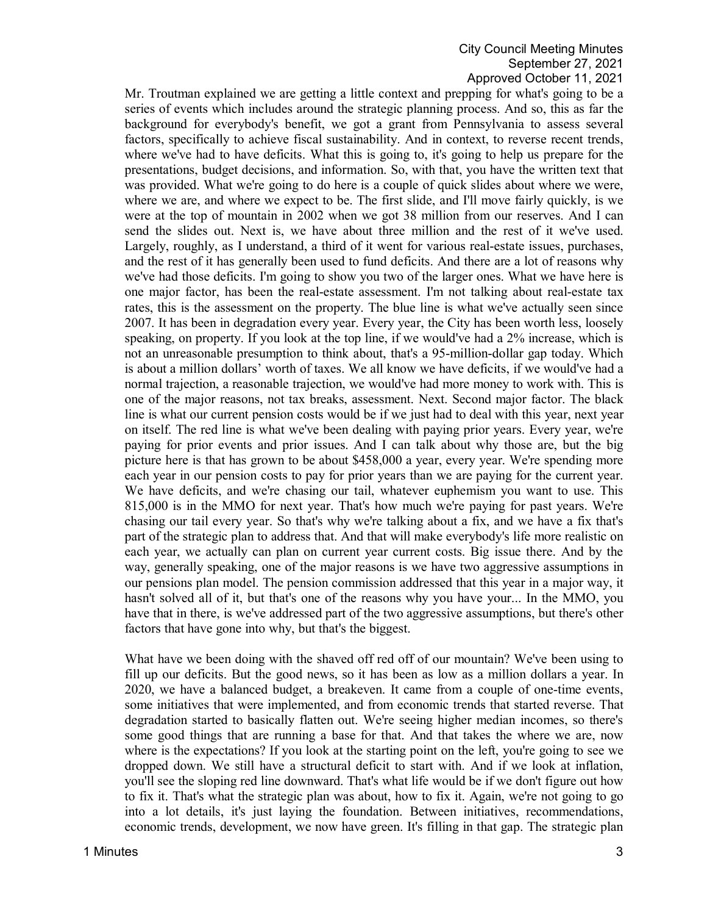# City Council Meeting Minutes September 27, 2021 Approved October 11, 2021

Mr. Troutman explained we are getting a little context and prepping for what's going to be a series of events which includes around the strategic planning process. And so, this as far the background for everybody's benefit, we got a grant from Pennsylvania to assess several factors, specifically to achieve fiscal sustainability. And in context, to reverse recent trends, where we've had to have deficits. What this is going to, it's going to help us prepare for the presentations, budget decisions, and information. So, with that, you have the written text that was provided. What we're going to do here is a couple of quick slides about where we were, where we are, and where we expect to be. The first slide, and I'll move fairly quickly, is we were at the top of mountain in 2002 when we got 38 million from our reserves. And I can send the slides out. Next is, we have about three million and the rest of it we've used. Largely, roughly, as I understand, a third of it went for various real-estate issues, purchases, and the rest of it has generally been used to fund deficits. And there are a lot of reasons why we've had those deficits. I'm going to show you two of the larger ones. What we have here is one major factor, has been the real-estate assessment. I'm not talking about real-estate tax rates, this is the assessment on the property. The blue line is what we've actually seen since 2007. It has been in degradation every year. Every year, the City has been worth less, loosely speaking, on property. If you look at the top line, if we would've had a 2% increase, which is not an unreasonable presumption to think about, that's a 95-million-dollar gap today. Which is about a million dollars' worth of taxes. We all know we have deficits, if we would've had a normal trajection, a reasonable trajection, we would've had more money to work with. This is one of the major reasons, not tax breaks, assessment. Next. Second major factor. The black line is what our current pension costs would be if we just had to deal with this year, next year on itself. The red line is what we've been dealing with paying prior years. Every year, we're paying for prior events and prior issues. And I can talk about why those are, but the big picture here is that has grown to be about \$458,000 a year, every year. We're spending more each year in our pension costs to pay for prior years than we are paying for the current year. We have deficits, and we're chasing our tail, whatever euphemism you want to use. This 815,000 is in the MMO for next year. That's how much we're paying for past years. We're chasing our tail every year. So that's why we're talking about a fix, and we have a fix that's part of the strategic plan to address that. And that will make everybody's life more realistic on each year, we actually can plan on current year current costs. Big issue there. And by the way, generally speaking, one of the major reasons is we have two aggressive assumptions in our pensions plan model. The pension commission addressed that this year in a major way, it hasn't solved all of it, but that's one of the reasons why you have your... In the MMO, you have that in there, is we've addressed part of the two aggressive assumptions, but there's other factors that have gone into why, but that's the biggest.

What have we been doing with the shaved off red off of our mountain? We've been using to fill up our deficits. But the good news, so it has been as low as a million dollars a year. In 2020, we have a balanced budget, a breakeven. It came from a couple of one-time events, some initiatives that were implemented, and from economic trends that started reverse. That degradation started to basically flatten out. We're seeing higher median incomes, so there's some good things that are running a base for that. And that takes the where we are, now where is the expectations? If you look at the starting point on the left, you're going to see we dropped down. We still have a structural deficit to start with. And if we look at inflation, you'll see the sloping red line downward. That's what life would be if we don't figure out how to fix it. That's what the strategic plan was about, how to fix it. Again, we're not going to go into a lot details, it's just laying the foundation. Between initiatives, recommendations, economic trends, development, we now have green. It's filling in that gap. The strategic plan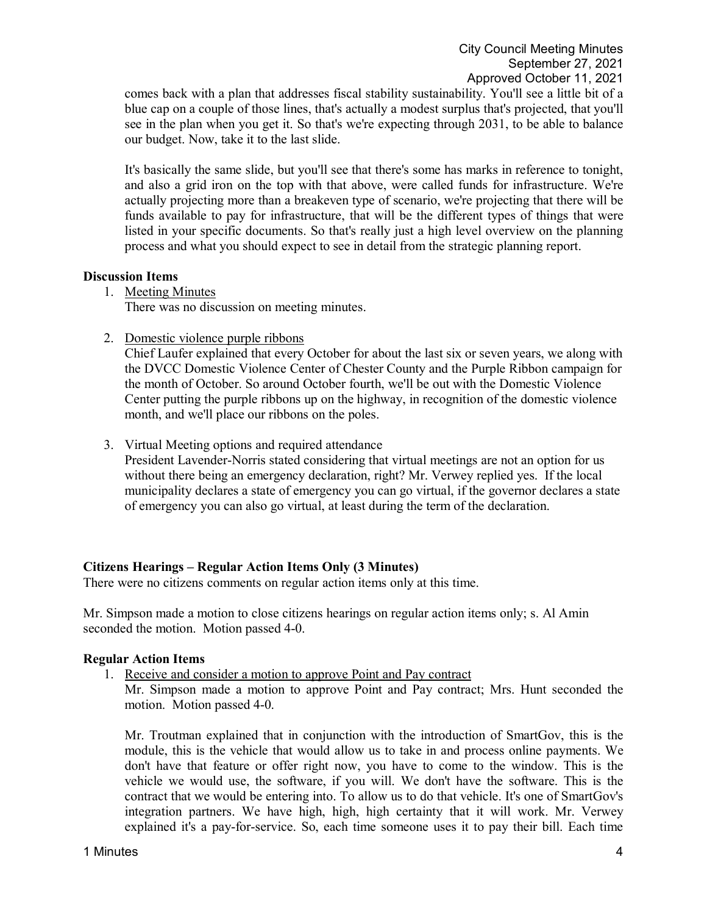comes back with a plan that addresses fiscal stability sustainability. You'll see a little bit of a blue cap on a couple of those lines, that's actually a modest surplus that's projected, that you'll see in the plan when you get it. So that's we're expecting through 2031, to be able to balance our budget. Now, take it to the last slide.

It's basically the same slide, but you'll see that there's some has marks in reference to tonight, and also a grid iron on the top with that above, were called funds for infrastructure. We're actually projecting more than a breakeven type of scenario, we're projecting that there will be funds available to pay for infrastructure, that will be the different types of things that were listed in your specific documents. So that's really just a high level overview on the planning process and what you should expect to see in detail from the strategic planning report.

## **Discussion Items**

1. Meeting Minutes

There was no discussion on meeting minutes.

2. Domestic violence purple ribbons

Chief Laufer explained that every October for about the last six or seven years, we along with the DVCC Domestic Violence Center of Chester County and the Purple Ribbon campaign for the month of October. So around October fourth, we'll be out with the Domestic Violence Center putting the purple ribbons up on the highway, in recognition of the domestic violence month, and we'll place our ribbons on the poles.

3. Virtual Meeting options and required attendance

President Lavender-Norris stated considering that virtual meetings are not an option for us without there being an emergency declaration, right? Mr. Verwey replied yes. If the local municipality declares a state of emergency you can go virtual, if the governor declares a state of emergency you can also go virtual, at least during the term of the declaration.

# **Citizens Hearings – Regular Action Items Only (3 Minutes)**

There were no citizens comments on regular action items only at this time.

Mr. Simpson made a motion to close citizens hearings on regular action items only; s. Al Amin seconded the motion. Motion passed 4-0.

## **Regular Action Items**

1. Receive and consider a motion to approve Point and Pay contract

Mr. Simpson made a motion to approve Point and Pay contract; Mrs. Hunt seconded the motion. Motion passed 4-0.

Mr. Troutman explained that in conjunction with the introduction of SmartGov, this is the module, this is the vehicle that would allow us to take in and process online payments. We don't have that feature or offer right now, you have to come to the window. This is the vehicle we would use, the software, if you will. We don't have the software. This is the contract that we would be entering into. To allow us to do that vehicle. It's one of SmartGov's integration partners. We have high, high, high certainty that it will work. Mr. Verwey explained it's a pay-for-service. So, each time someone uses it to pay their bill. Each time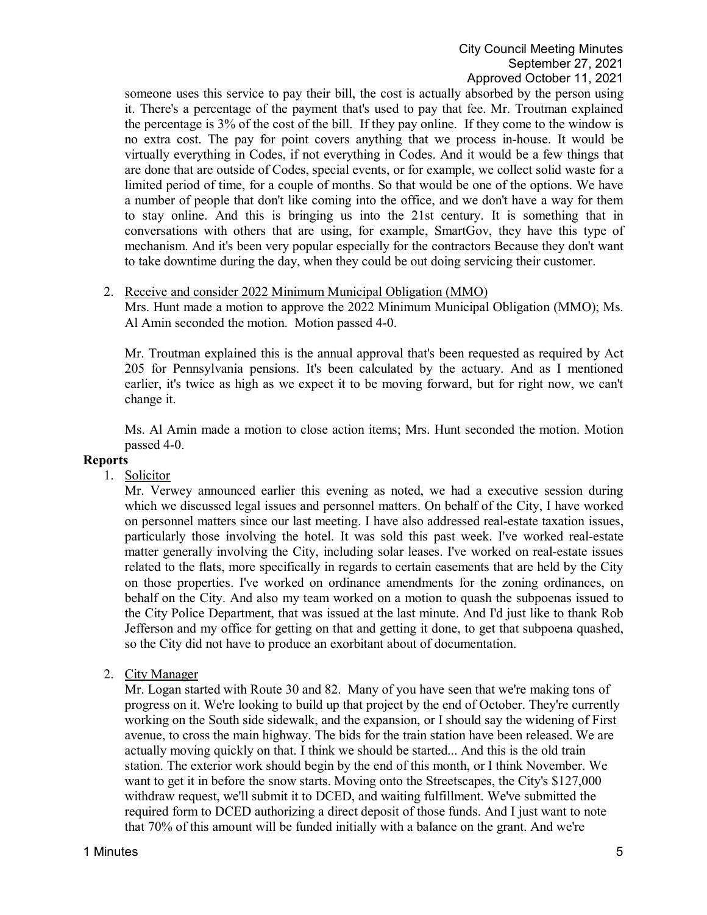someone uses this service to pay their bill, the cost is actually absorbed by the person using it. There's a percentage of the payment that's used to pay that fee. Mr. Troutman explained the percentage is 3% of the cost of the bill. If they pay online. If they come to the window is no extra cost. The pay for point covers anything that we process in-house. It would be virtually everything in Codes, if not everything in Codes. And it would be a few things that are done that are outside of Codes, special events, or for example, we collect solid waste for a limited period of time, for a couple of months. So that would be one of the options. We have a number of people that don't like coming into the office, and we don't have a way for them to stay online. And this is bringing us into the 21st century. It is something that in conversations with others that are using, for example, SmartGov, they have this type of mechanism. And it's been very popular especially for the contractors Because they don't want to take downtime during the day, when they could be out doing servicing their customer.

## 2. Receive and consider 2022 Minimum Municipal Obligation (MMO)

Mrs. Hunt made a motion to approve the 2022 Minimum Municipal Obligation (MMO); Ms. Al Amin seconded the motion. Motion passed 4-0.

Mr. Troutman explained this is the annual approval that's been requested as required by Act 205 for Pennsylvania pensions. It's been calculated by the actuary. And as I mentioned earlier, it's twice as high as we expect it to be moving forward, but for right now, we can't change it.

Ms. Al Amin made a motion to close action items; Mrs. Hunt seconded the motion. Motion passed 4-0.

## **Reports**

1. Solicitor

Mr. Verwey announced earlier this evening as noted, we had a executive session during which we discussed legal issues and personnel matters. On behalf of the City, I have worked on personnel matters since our last meeting. I have also addressed real-estate taxation issues, particularly those involving the hotel. It was sold this past week. I've worked real-estate matter generally involving the City, including solar leases. I've worked on real-estate issues related to the flats, more specifically in regards to certain easements that are held by the City on those properties. I've worked on ordinance amendments for the zoning ordinances, on behalf on the City. And also my team worked on a motion to quash the subpoenas issued to the City Police Department, that was issued at the last minute. And I'd just like to thank Rob Jefferson and my office for getting on that and getting it done, to get that subpoena quashed, so the City did not have to produce an exorbitant about of documentation.

2. City Manager

Mr. Logan started with Route 30 and 82. Many of you have seen that we're making tons of progress on it. We're looking to build up that project by the end of October. They're currently working on the South side sidewalk, and the expansion, or I should say the widening of First avenue, to cross the main highway. The bids for the train station have been released. We are actually moving quickly on that. I think we should be started... And this is the old train station. The exterior work should begin by the end of this month, or I think November. We want to get it in before the snow starts. Moving onto the Streetscapes, the City's \$127,000 withdraw request, we'll submit it to DCED, and waiting fulfillment. We've submitted the required form to DCED authorizing a direct deposit of those funds. And I just want to note that 70% of this amount will be funded initially with a balance on the grant. And we're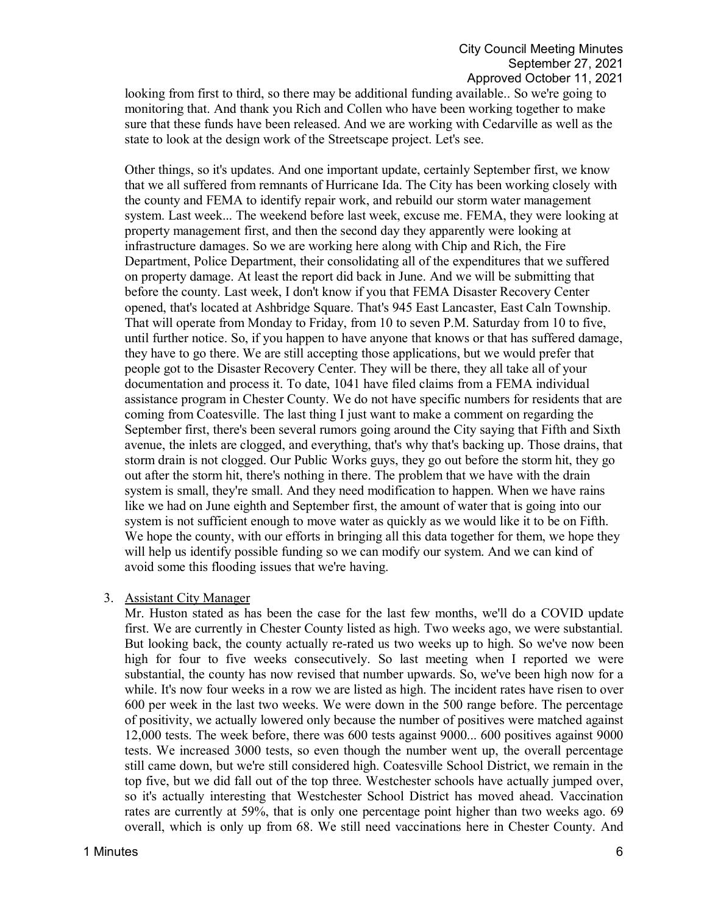looking from first to third, so there may be additional funding available.. So we're going to monitoring that. And thank you Rich and Collen who have been working together to make sure that these funds have been released. And we are working with Cedarville as well as the state to look at the design work of the Streetscape project. Let's see.

Other things, so it's updates. And one important update, certainly September first, we know that we all suffered from remnants of Hurricane Ida. The City has been working closely with the county and FEMA to identify repair work, and rebuild our storm water management system. Last week... The weekend before last week, excuse me. FEMA, they were looking at property management first, and then the second day they apparently were looking at infrastructure damages. So we are working here along with Chip and Rich, the Fire Department, Police Department, their consolidating all of the expenditures that we suffered on property damage. At least the report did back in June. And we will be submitting that before the county. Last week, I don't know if you that FEMA Disaster Recovery Center opened, that's located at Ashbridge Square. That's 945 East Lancaster, East Caln Township. That will operate from Monday to Friday, from 10 to seven P.M. Saturday from 10 to five, until further notice. So, if you happen to have anyone that knows or that has suffered damage, they have to go there. We are still accepting those applications, but we would prefer that people got to the Disaster Recovery Center. They will be there, they all take all of your documentation and process it. To date, 1041 have filed claims from a FEMA individual assistance program in Chester County. We do not have specific numbers for residents that are coming from Coatesville. The last thing I just want to make a comment on regarding the September first, there's been several rumors going around the City saying that Fifth and Sixth avenue, the inlets are clogged, and everything, that's why that's backing up. Those drains, that storm drain is not clogged. Our Public Works guys, they go out before the storm hit, they go out after the storm hit, there's nothing in there. The problem that we have with the drain system is small, they're small. And they need modification to happen. When we have rains like we had on June eighth and September first, the amount of water that is going into our system is not sufficient enough to move water as quickly as we would like it to be on Fifth. We hope the county, with our efforts in bringing all this data together for them, we hope they will help us identify possible funding so we can modify our system. And we can kind of avoid some this flooding issues that we're having.

## 3. Assistant City Manager

Mr. Huston stated as has been the case for the last few months, we'll do a COVID update first. We are currently in Chester County listed as high. Two weeks ago, we were substantial. But looking back, the county actually re-rated us two weeks up to high. So we've now been high for four to five weeks consecutively. So last meeting when I reported we were substantial, the county has now revised that number upwards. So, we've been high now for a while. It's now four weeks in a row we are listed as high. The incident rates have risen to over 600 per week in the last two weeks. We were down in the 500 range before. The percentage of positivity, we actually lowered only because the number of positives were matched against 12,000 tests. The week before, there was 600 tests against 9000... 600 positives against 9000 tests. We increased 3000 tests, so even though the number went up, the overall percentage still came down, but we're still considered high. Coatesville School District, we remain in the top five, but we did fall out of the top three. Westchester schools have actually jumped over, so it's actually interesting that Westchester School District has moved ahead. Vaccination rates are currently at 59%, that is only one percentage point higher than two weeks ago. 69 overall, which is only up from 68. We still need vaccinations here in Chester County. And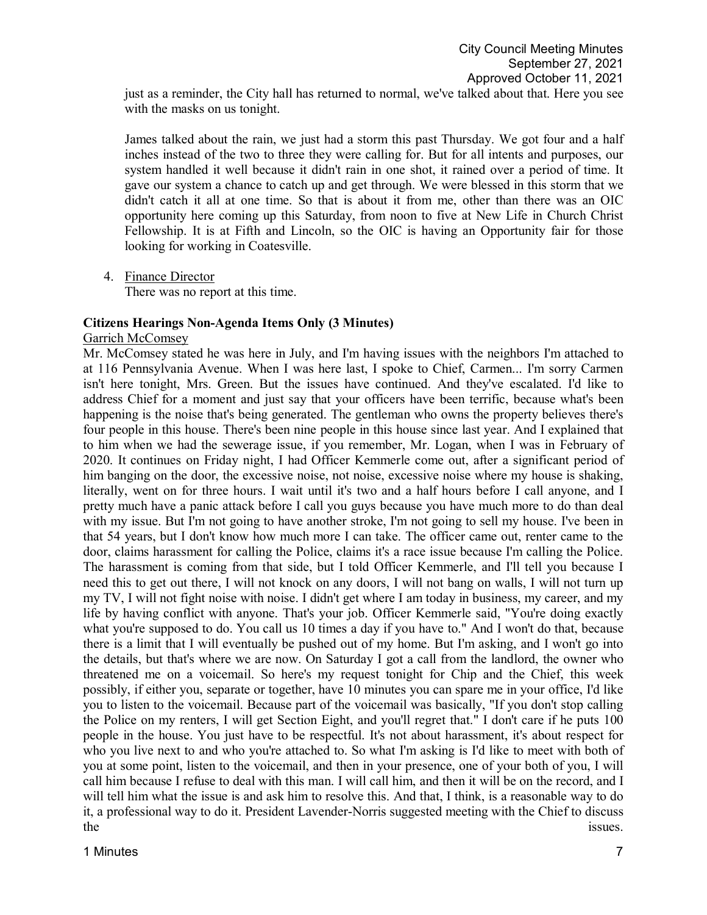just as a reminder, the City hall has returned to normal, we've talked about that. Here you see with the masks on us tonight.

James talked about the rain, we just had a storm this past Thursday. We got four and a half inches instead of the two to three they were calling for. But for all intents and purposes, our system handled it well because it didn't rain in one shot, it rained over a period of time. It gave our system a chance to catch up and get through. We were blessed in this storm that we didn't catch it all at one time. So that is about it from me, other than there was an OIC opportunity here coming up this Saturday, from noon to five at New Life in Church Christ Fellowship. It is at Fifth and Lincoln, so the OIC is having an Opportunity fair for those looking for working in Coatesville.

4. Finance Director

There was no report at this time.

## **Citizens Hearings Non-Agenda Items Only (3 Minutes)**

#### Garrich McComsey

Mr. McComsey stated he was here in July, and I'm having issues with the neighbors I'm attached to at 116 Pennsylvania Avenue. When I was here last, I spoke to Chief, Carmen... I'm sorry Carmen isn't here tonight, Mrs. Green. But the issues have continued. And they've escalated. I'd like to address Chief for a moment and just say that your officers have been terrific, because what's been happening is the noise that's being generated. The gentleman who owns the property believes there's four people in this house. There's been nine people in this house since last year. And I explained that to him when we had the sewerage issue, if you remember, Mr. Logan, when I was in February of 2020. It continues on Friday night, I had Officer Kemmerle come out, after a significant period of him banging on the door, the excessive noise, not noise, excessive noise where my house is shaking, literally, went on for three hours. I wait until it's two and a half hours before I call anyone, and I pretty much have a panic attack before I call you guys because you have much more to do than deal with my issue. But I'm not going to have another stroke, I'm not going to sell my house. I've been in that 54 years, but I don't know how much more I can take. The officer came out, renter came to the door, claims harassment for calling the Police, claims it's a race issue because I'm calling the Police. The harassment is coming from that side, but I told Officer Kemmerle, and I'll tell you because I need this to get out there, I will not knock on any doors, I will not bang on walls, I will not turn up my TV, I will not fight noise with noise. I didn't get where I am today in business, my career, and my life by having conflict with anyone. That's your job. Officer Kemmerle said, "You're doing exactly what you're supposed to do. You call us 10 times a day if you have to." And I won't do that, because there is a limit that I will eventually be pushed out of my home. But I'm asking, and I won't go into the details, but that's where we are now. On Saturday I got a call from the landlord, the owner who threatened me on a voicemail. So here's my request tonight for Chip and the Chief, this week possibly, if either you, separate or together, have 10 minutes you can spare me in your office, I'd like you to listen to the voicemail. Because part of the voicemail was basically, "If you don't stop calling the Police on my renters, I will get Section Eight, and you'll regret that." I don't care if he puts 100 people in the house. You just have to be respectful. It's not about harassment, it's about respect for who you live next to and who you're attached to. So what I'm asking is I'd like to meet with both of you at some point, listen to the voicemail, and then in your presence, one of your both of you, I will call him because I refuse to deal with this man. I will call him, and then it will be on the record, and I will tell him what the issue is and ask him to resolve this. And that, I think, is a reasonable way to do it, a professional way to do it. President Lavender-Norris suggested meeting with the Chief to discuss the issues.